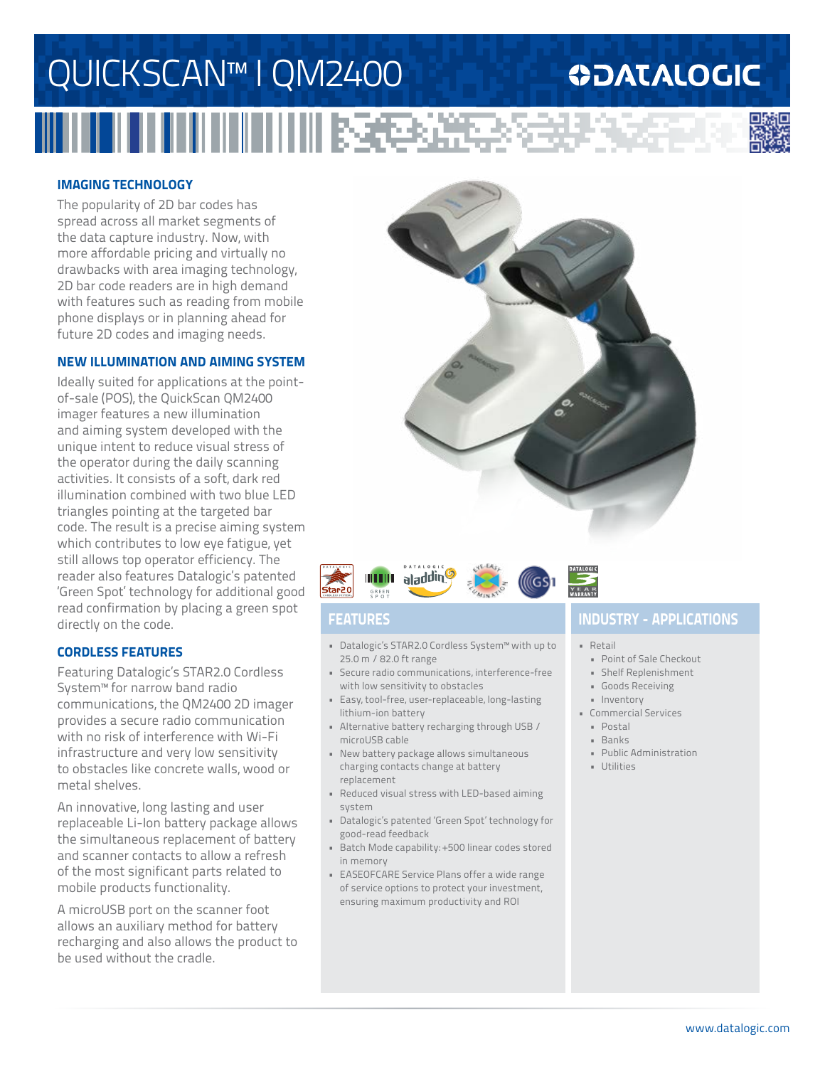# QUICKSCAN™ I QM2400 医色谱学

### **ODATALOGIC**



#### **IMAGING TECHNOLOGY**

The popularity of 2D bar codes has spread across all market segments of the data capture industry. Now, with more affordable pricing and virtually no drawbacks with area imaging technology, 2D bar code readers are in high demand with features such as reading from mobile phone displays or in planning ahead for future 2D codes and imaging needs.

#### **NEW ILLUMINATION AND AIMING SYSTEM**

Ideally suited for applications at the pointof-sale (POS), the QuickScan QM2400 imager features a new illumination and aiming system developed with the unique intent to reduce visual stress of the operator during the daily scanning activities. It consists of a soft, dark red illumination combined with two blue LED triangles pointing at the targeted bar code. The result is a precise aiming system which contributes to low eye fatigue, yet still allows top operator efficiency. The reader also features Datalogic's patented 'Green Spot' technology for additional good read confirmation by placing a green spot directly on the code.

#### **CORDLESS FEATURES**

Featuring Datalogic's STAR2.0 Cordless System™ for narrow band radio communications, the QM2400 2D imager provides a secure radio communication with no risk of interference with Wi-Fi infrastructure and very low sensitivity to obstacles like concrete walls, wood or metal shelves.

An innovative, long lasting and user replaceable Li-Ion battery package allows the simultaneous replacement of battery and scanner contacts to allow a refresh of the most significant parts related to mobile products functionality.

A microUSB port on the scanner foot allows an auxiliary method for battery recharging and also allows the product to be used without the cradle.





- Datalogic's STAR2.0 Cordless System™ with up to 25.0 m / 82.0 ft range
- Secure radio communications, interference-free with low sensitivity to obstacles
- Easy, tool-free, user-replaceable, long-lasting lithium-ion battery
- Alternative battery recharging through USB / microUSB cable
- New battery package allows simultaneous charging contacts change at battery replacement
- Reduced visual stress with LED-based aiming system
- Datalogic's patented 'Green Spot' technology for good-read feedback
- Batch Mode capability: +500 linear codes stored in memory
- EASEOFCARE Service Plans offer a wide range of service options to protect your investment, ensuring maximum productivity and ROI

### **FEATURES INDUSTRY - APPLICATIONS**

• Retail

- Point of Sale Checkout
- Shelf Replenishment
- Goods Receiving
- Inventory
- Commercial Services
	- Postal
	- Banks
	- Public Administration
	- Utilities